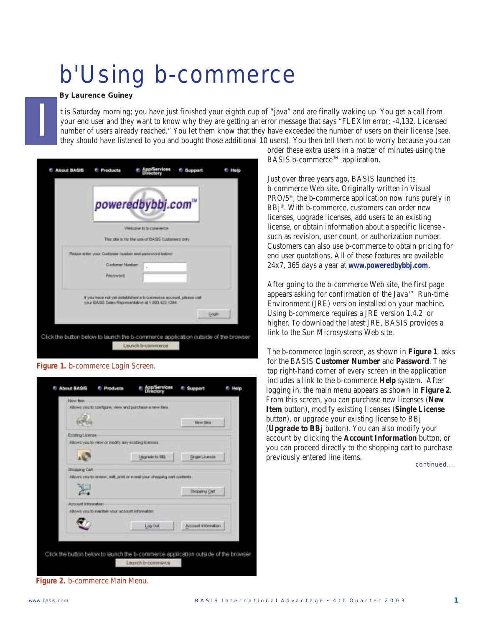## b'Using b-commerce

*By Laurence Guiney*

I

t is Saturday morning; you have just finished your eighth cup of "java" and are finally waking up. You get a call from your end user and they want to know why they are getting an error message that says "FLEX*lm* error: -4,132. Licensed number of users already reached." You let them know that they have exceeded the number of users on their license (see, they should have listened to you and bought those additional 10 users). You then tell them not to worry because you can

| poweredbybbj.com"                                                                                                         |                                                  |  |         |  |
|---------------------------------------------------------------------------------------------------------------------------|--------------------------------------------------|--|---------|--|
|                                                                                                                           | <b>VINCENT TO SCIENTIFICA</b>                    |  |         |  |
|                                                                                                                           | This also is for the use of BASS Customers only. |  |         |  |
| Rease witer your Custower rander and patitiword below.                                                                    |                                                  |  |         |  |
| <b>Cuttoner Munitier</b><br>Password                                                                                      |                                                  |  |         |  |
| If you have nut yet exhibitation a b-commerce account, please call<br>irmar DAGIS Sales Representative at 1,000,422-1394. |                                                  |  |         |  |
|                                                                                                                           |                                                  |  | Logilli |  |

## **Figure 1.** b-commerce Login Screen.



order these extra users in a matter of minutes using the BASIS b-commerce™ application.

Just over three years ago, BASIS launched its b-commerce Web site. Originally written in Visual PRO/5®, the b-commerce application now runs purely in BBj®. With b-commerce, customers can order new licenses, upgrade licenses, add users to an existing license, or obtain information about a specific license such as revision, user count, or authorization number. Customers can also use b-commerce to obtain pricing for end user quotations. All of these features are available 24x7, 365 days a year at *www.poweredbybbj.com*.

After going to the b-commerce Web site, the first page appears asking for confirmation of the Java™ Run-time Environment (JRE) version installed on your machine. Using b-commerce requires a JRE version 1.4.2 or higher. To download the latest JRE, BASIS provides a link to the Sun Microsystems Web site.

The b-commerce login screen, as shown in **Figure 1**, asks for the BASIS **Customer Number** and **Password**. The top right-hand corner of every screen in the application includes a link to the b-commerce **Help** system. After logging in, the main menu appears as shown in **Figure 2**. From this screen, you can purchase new licenses (**New Item** button), modify existing licenses (**Single License** button), or upgrade your existing license to BBj (**Upgrade to BBj** button). You can also modify your account by clicking the **Account Information** button, or you can proceed directly to the shopping cart to purchase previously entered line items.

*continued...*

**Figure 2.** b-commerce Main Menu.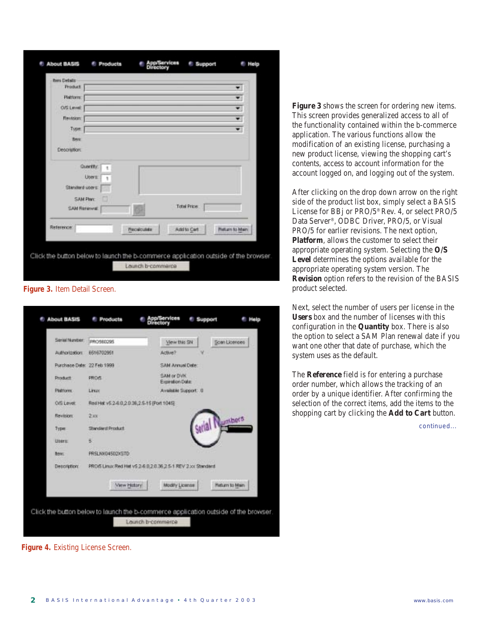| <b>Bers Details</b>             |                                                   |                             |                    |                       |  |
|---------------------------------|---------------------------------------------------|-----------------------------|--------------------|-----------------------|--|
| Product                         |                                                   |                             |                    | ۳                     |  |
| Platform:                       |                                                   |                             |                    | v.                    |  |
| O/S Level:                      |                                                   |                             |                    | v                     |  |
| <b>Revision:</b>                |                                                   |                             |                    | Ŧ                     |  |
| <b>Type:</b>                    |                                                   |                             |                    | 甸                     |  |
| <b>Berg</b>                     |                                                   |                             |                    |                       |  |
| <b>Decoration:</b>              |                                                   |                             |                    |                       |  |
| Standard upers:<br>SAM Renewall | Quantity:<br>ŧ<br><b>Users:</b><br>SAM Plan:<br>m |                             | <b>Total Price</b> |                       |  |
| Reference                       |                                                   | <b><i>Photosiculate</i></b> | Add to Cart        | <b>Matian to Main</b> |  |
|                                 |                                                   |                             |                    |                       |  |

**Figure 3.** Item Detail Screen.

| Senial Number:             | IRRO580295                                                   | View this SN                   | Soan Licenses          |
|----------------------------|--------------------------------------------------------------|--------------------------------|------------------------|
| Authorization:             | 6616702961                                                   | Adlive?                        |                        |
| Purchase Date: 22 Feb 1999 |                                                              | SAM Annual Date:               |                        |
| Product                    | <b>PROS</b>                                                  | SAM or DVK<br>Expiration Date: |                        |
| <b>Platform</b>            | Linux                                                        | Available Support: 0           |                        |
| <b>OIS Level:</b>          | RellHat v5.2-6.0.2.0.38,2.5-15 (Port 1045)                   |                                |                        |
| Revision:                  | 2x                                                           |                                | umbers                 |
| Туриг                      | Shedard Product                                              |                                |                        |
| <b>Uners:</b>              | 5                                                            |                                |                        |
| <b>Bear</b> :              | PRSLNX04502X5TD                                              |                                |                        |
| Description:               | PROVS Linux Red Hiel vS 2-6 0.2 0.36 2 5-1 REV 2 xx Standard |                                |                        |
|                            | View History                                                 | Modify License                 | <b>Hieturn to Main</b> |
|                            |                                                              |                                |                        |

**Figure 4.** Existing License Screen.

**Figure 3** shows the screen for ordering new items. This screen provides generalized access to all of the functionality contained within the b-commerce application. The various functions allow the modification of an existing license, purchasing a new product license, viewing the shopping cart's contents, access to account information for the account logged on, and logging out of the system.

After clicking on the drop down arrow on the right side of the product list box, simply select a BASIS License for BBj or PRO/5® Rev. 4, or select PRO/5 Data Server®, ODBC Driver, PRO/5, or Visual PRO/5 for earlier revisions. The next option, **Platform**, allows the customer to select their appropriate operating system. Selecting the **O/S Level** determines the options available for the appropriate operating system version. The **Revision** option refers to the revision of the BASIS product selected.

Next, select the number of users per license in the **Users** box and the number of licenses with this configuration in the **Quantity** box. There is also the option to select a SAM Plan renewal date if you want one other that date of purchase, which the system uses as the default.

The **Reference** field is for entering a purchase order number, which allows the tracking of an order by a unique identifier. After confirming the selection of the correct items, add the items to the shopping cart by clicking the **Add to Cart** button.

*continued...*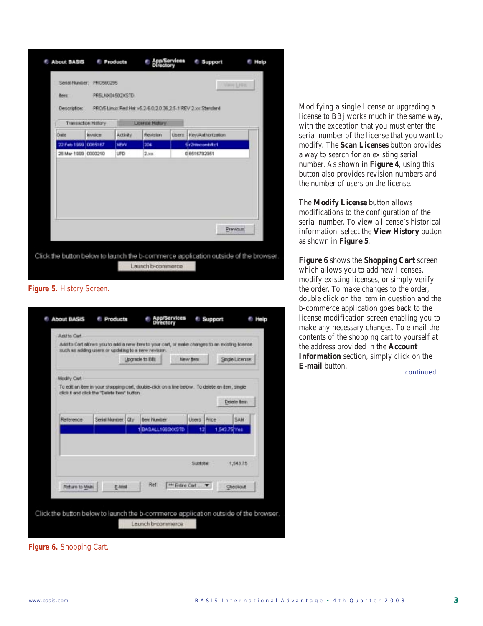| Description:        |                    |            |                        |        | FRO/5 Linux Rest Hat v5.2-6.0.2.0.36.2-5-1 REV 2.xx Standard |  |
|---------------------|--------------------|------------|------------------------|--------|--------------------------------------------------------------|--|
|                     | Transaction Hotory |            | <b>License History</b> |        |                                                              |  |
| Dotte               | <b>Invoice</b>     | Activity   | Revision               | Users. | <b>Rey/Authorization</b>                                     |  |
| 22 Feb 1999 0065167 |                    | NEW        | 204                    |        | <b>Sr2-thcombitc1</b>                                        |  |
| 26 Mar 1999 0000210 |                    | <b>UPD</b> | 2.xx                   |        | 0 6516702951                                                 |  |
|                     |                    |            |                        |        |                                                              |  |

**Figure 5.** History Screen.

| Add to Cart allows you to add a new item to your cart, or make changes to an existing license<br>such as addrep users or updating to a new revision.<br>New Ben<br>Single License<br>Upgrade to Effi<br><b>Modify Cart</b><br>To edit an item in your shopping cert, double-click on a line below. To delete an item, single<br>click if and click the "Delete twn" button.<br>Delete fiers |  |
|---------------------------------------------------------------------------------------------------------------------------------------------------------------------------------------------------------------------------------------------------------------------------------------------------------------------------------------------------------------------------------------------|--|
|                                                                                                                                                                                                                                                                                                                                                                                             |  |
|                                                                                                                                                                                                                                                                                                                                                                                             |  |
|                                                                                                                                                                                                                                                                                                                                                                                             |  |
|                                                                                                                                                                                                                                                                                                                                                                                             |  |
|                                                                                                                                                                                                                                                                                                                                                                                             |  |
|                                                                                                                                                                                                                                                                                                                                                                                             |  |
| Serial Number<br><b>SAM</b><br><b>Oty</b><br><b>Beijo Nunitien</b><br>Lisers  <br>Price<br>Reference                                                                                                                                                                                                                                                                                        |  |
| BASALL1663XXSTD<br>1.543.75 Yes                                                                                                                                                                                                                                                                                                                                                             |  |
|                                                                                                                                                                                                                                                                                                                                                                                             |  |
|                                                                                                                                                                                                                                                                                                                                                                                             |  |
| Subtobal<br>1,543.75                                                                                                                                                                                                                                                                                                                                                                        |  |
|                                                                                                                                                                                                                                                                                                                                                                                             |  |
| Ret:<br>ant Entire Cart<br>Return to Main.<br>E-Mni<br>Checkout                                                                                                                                                                                                                                                                                                                             |  |
|                                                                                                                                                                                                                                                                                                                                                                                             |  |

Modifying a single license or upgrading a license to BBj works much in the same way, with the exception that you must enter the serial number of the license that you want to modify. The **Scan Licenses** button provides a way to search for an existing serial number. As shown in **Figure 4**, using this button also provides revision numbers and the number of users on the license.

The **Modify License** button allows modifications to the configuration of the serial number. To view a license's historical information, select the **View History** button as shown in **Figure 5**.

*continued...* **Figure 6** shows the **Shopping Cart** screen which allows you to add new licenses, modify existing licenses, or simply verify the order. To make changes to the order, double click on the item in question and the b-commerce application goes back to the license modification screen enabling you to make any necessary changes. To e-mail the contents of the shopping cart to yourself at the address provided in the **Account Information** section, simply click on the **E-mail** button.

**Figure 6.** Shopping Cart.